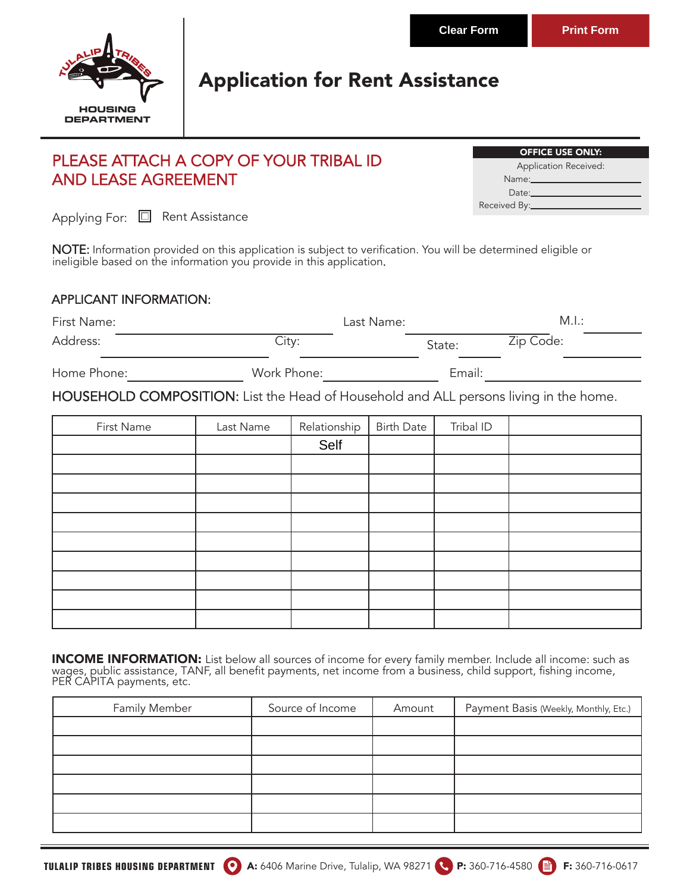

# Application for Rent Assistance

### PLEASE ATTACH A COPY OF YOUR TRIBAL ID AND LEASE AGREEMENT

| <b>OFFICE USE ONLY:</b>                                                                                                                                                                                                       |
|-------------------------------------------------------------------------------------------------------------------------------------------------------------------------------------------------------------------------------|
| Application Received:                                                                                                                                                                                                         |
| Name: will be a series of the series of the series of the series of the series of the series of the series of the series of the series of the series of the series of the series of the series of the series of the series of |
| Date:                                                                                                                                                                                                                         |
| Received By:_____                                                                                                                                                                                                             |

Applying For: **E** Rent Assistance

NOTE: Information provided on this application is subject to verification. You will be determined eligible or ineligible based on the information you provide in this application.

#### APPLICANT INFORMATION:

| First Name: |             | Last Name: | M.I.:     |  |
|-------------|-------------|------------|-----------|--|
| Address:    | City:       | State:     | Zip Code: |  |
| Home Phone: | Work Phone: | Email:     |           |  |

HOUSEHOLD COMPOSITION: List the Head of Household and ALL persons living in the home.

| First Name | Last Name | Relationship | <b>Birth Date</b> | Tribal ID |  |
|------------|-----------|--------------|-------------------|-----------|--|
|            |           | Self         |                   |           |  |
|            |           |              |                   |           |  |
|            |           |              |                   |           |  |
|            |           |              |                   |           |  |
|            |           |              |                   |           |  |
|            |           |              |                   |           |  |
|            |           |              |                   |           |  |
|            |           |              |                   |           |  |
|            |           |              |                   |           |  |
|            |           |              |                   |           |  |

INCOME INFORMATION: List below all sources of income for every family member. Include all income: such as wages, public assistance, TANF, all benefit payments, net income from a business, child support, fishing income, PER CAPITA payments, etc.

| Family Member | Source of Income | Amount | Payment Basis (Weekly, Monthly, Etc.) |
|---------------|------------------|--------|---------------------------------------|
|               |                  |        |                                       |
|               |                  |        |                                       |
|               |                  |        |                                       |
|               |                  |        |                                       |
|               |                  |        |                                       |
|               |                  |        |                                       |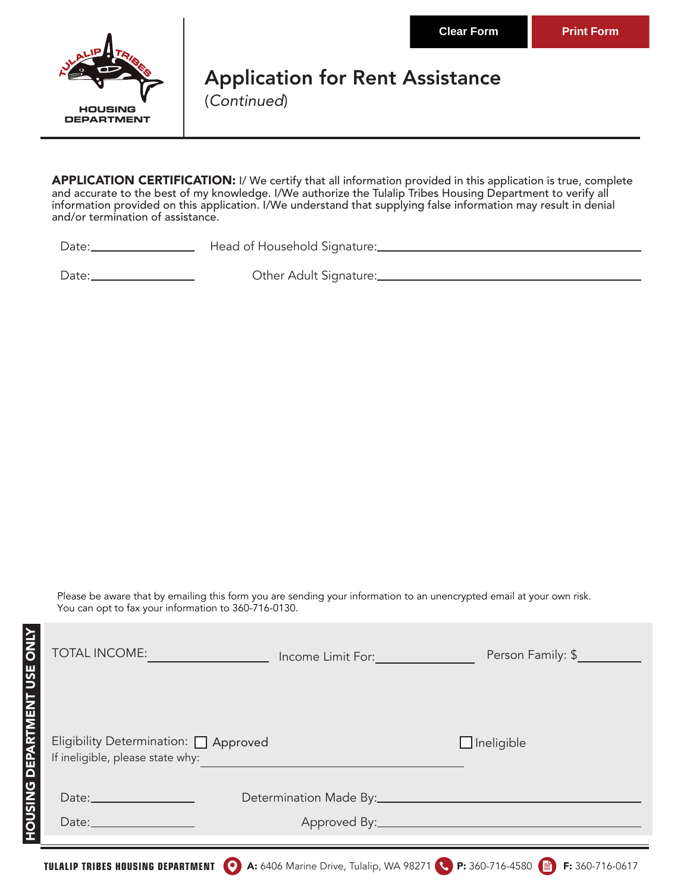

# Application for Rent Assistance

(Continued)

APPLICATION CERTIFICATION: I/ We certify that all information provided in this application is true, complete and accurate to the best of my knowledge. I/We authorize the Tulalip Tribes Housing Department to verify all information provided on this application. I/We understand that supplying false information may result in denial and/or termination of assistance.

**HOUSING DEPARTMENT USE ONLY** 

Date: <u>Charles Communicus Cost Household Signature:</u>

Date:

Other Adult Signature:

Please be aware that by emailing this form you are sending your information to an unencrypted email at your own risk. You can opt to fax your information to 360-716-0130.

| <b>ZINO</b><br>TOTAL INCOME:<br>USE                                                            | Income Limit For: The Contract of the Contract of the Contract of the Contract of the Contract of the Contract of the Contract of the Contract of the Contract of the Contract of the Contract of the Contract of the Contract | Person Family: \$ |
|------------------------------------------------------------------------------------------------|--------------------------------------------------------------------------------------------------------------------------------------------------------------------------------------------------------------------------------|-------------------|
| HOUSING DEPARTMEN<br>Eligibility Determination:   Approved<br>If ineligible, please state why: |                                                                                                                                                                                                                                | $\Box$ Ineligible |
|                                                                                                |                                                                                                                                                                                                                                |                   |
| Date: $\frac{1}{2}$                                                                            |                                                                                                                                                                                                                                |                   |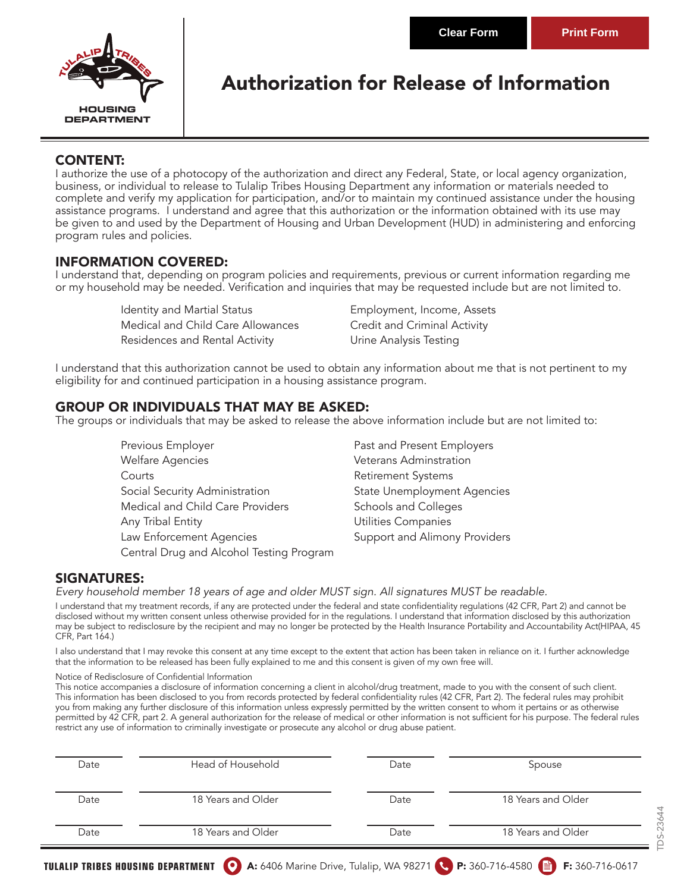TDS-23644

DS-23644



### Authorization for Release of Information

#### CONTENT:

I authorize the use of a photocopy of the authorization and direct any Federal, State, or local agency organization, business, or individual to release to Tulalip Tribes Housing Department any information or materials needed to complete and verify my application for participation, and/or to maintain my continued assistance under the housing assistance programs. I understand and agree that this authorization or the information obtained with its use may be given to and used by the Department of Housing and Urban Development (HUD) in administering and enforcing program rules and policies.

### INFORMATION COVERED:

I understand that, depending on program policies and requirements, previous or current information regarding me or my household may be needed. Verification and inquiries that may be requested include but are not limited to.

> Identity and Martial Status **Employment, Income, Assets** Medical and Child Care Allowances Credit and Criminal Activity Residences and Rental Activity **Example 20 Ultime** Analysis Testing

I understand that this authorization cannot be used to obtain any information about me that is not pertinent to my eligibility for and continued participation in a housing assistance program.

#### GROUP OR INDIVIDUALS THAT MAY BE ASKED:

The groups or individuals that may be asked to release the above information include but are not limited to:

Previous Employer **Past and Present Employers** Welfare Agencies **Veterans Adminstration** Courts **Courts Retirement Systems** Social Security Administration State Unemployment Agencies Medical and Child Care Providers Schools and Colleges Any Tribal Entity **Any Tribal Entity Any Tribal Entity** Law Enforcement Agencies **Support and Alimony Providers** Central Drug and Alcohol Testing Program

#### SIGNATURES:

*Every household member 18 years of age and older MUST sign. All signatures MUST be readable.* 

I understand that my treatment records, if any are protected under the federal and state confidentiality regulations (42 CFR, Part 2) and cannot be disclosed without my written consent unless otherwise provided for in the regulations. I understand that information disclosed by this authorization may be subject to redisclosure by the recipient and may no longer be protected by the Health Insurance Portability and Accountability Act(HIPAA, 45 CFR, Part 164.)

I also understand that I may revoke this consent at any time except to the extent that action has been taken in reliance on it. I further acknowledge that the information to be released has been fully explained to me and this consent is given of my own free will.

#### Notice of Redisclosure of Confidential Information

This notice accompanies a disclosure of information concerning a client in alcohol/drug treatment, made to you with the consent of such client. This information has been disclosed to you from records protected by federal confidentiality rules (42 CFR, Part 2). The federal rules may prohibit you from making any further disclosure of this information unless expressly permitted by the written consent to whom it pertains or as otherwise permitted by 42 CFR, part 2. A general authorization for the release of medical or other information is not sufficient for his purpose. The federal rules restrict any use of information to criminally investigate or prosecute any alcohol or drug abuse patient.

| Date | Head of Household  | Date | Spouse             |
|------|--------------------|------|--------------------|
| Date | 18 Years and Older | Date | 18 Years and Older |
| Date | 18 Years and Older | Date | 18 Years and Older |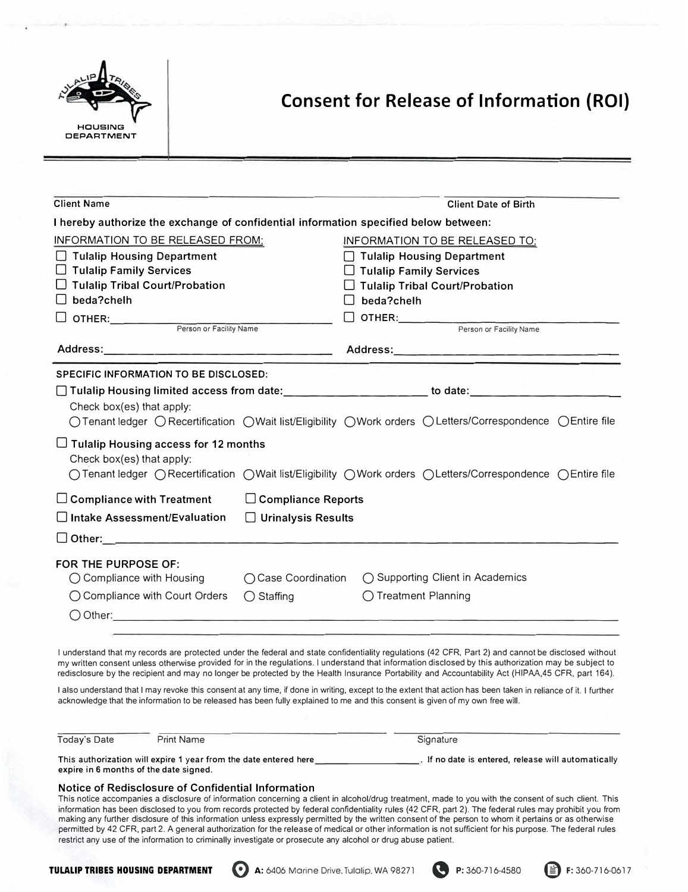

### **Consent for Release of Information (ROI)**

| <b>Client Name</b>                                                                   |                           | <b>Client Date of Birth</b>                                                                                                                                                                                                                                                                                                                                                                                                                                              |
|--------------------------------------------------------------------------------------|---------------------------|--------------------------------------------------------------------------------------------------------------------------------------------------------------------------------------------------------------------------------------------------------------------------------------------------------------------------------------------------------------------------------------------------------------------------------------------------------------------------|
| I hereby authorize the exchange of confidential information specified below between: |                           |                                                                                                                                                                                                                                                                                                                                                                                                                                                                          |
| INFORMATION TO BE RELEASED FROM:                                                     |                           | INFORMATION TO BE RELEASED TO:                                                                                                                                                                                                                                                                                                                                                                                                                                           |
| □ Tulalip Housing Department                                                         |                           | □ Tulalip Housing Department                                                                                                                                                                                                                                                                                                                                                                                                                                             |
| □ Tulalip Family Services                                                            |                           | □ Tulalip Family Services                                                                                                                                                                                                                                                                                                                                                                                                                                                |
| $\Box$ Tulalip Tribal Court/Probation                                                |                           | $\Box$ Tulalip Tribal Court/Probation                                                                                                                                                                                                                                                                                                                                                                                                                                    |
| beda?chelh<br>Lib                                                                    |                           | beda?chelh                                                                                                                                                                                                                                                                                                                                                                                                                                                               |
| OTHER: Person or Facility Name                                                       |                           | OTHER: Person or Facility Name                                                                                                                                                                                                                                                                                                                                                                                                                                           |
|                                                                                      |                           |                                                                                                                                                                                                                                                                                                                                                                                                                                                                          |
|                                                                                      |                           |                                                                                                                                                                                                                                                                                                                                                                                                                                                                          |
| <b>SPECIFIC INFORMATION TO BE DISCLOSED:</b>                                         |                           |                                                                                                                                                                                                                                                                                                                                                                                                                                                                          |
|                                                                                      |                           |                                                                                                                                                                                                                                                                                                                                                                                                                                                                          |
| Check box(es) that apply:                                                            |                           |                                                                                                                                                                                                                                                                                                                                                                                                                                                                          |
|                                                                                      |                           | ○ Tenant ledger ○ Recertification ○ Wait list/Eligibility ○ Work orders ○ Letters/Correspondence ○ Entire file                                                                                                                                                                                                                                                                                                                                                           |
| $\Box$ Tulalip Housing access for 12 months<br>Check box(es) that apply:             |                           | ○Tenant ledger ○Recertification ○Wait list/Eligibility ○Work orders ○Letters/Correspondence ○Entire file                                                                                                                                                                                                                                                                                                                                                                 |
| $\Box$ Compliance with Treatment                                                     | □ Compliance Reports      |                                                                                                                                                                                                                                                                                                                                                                                                                                                                          |
| $\Box$ Intake Assessment/Evaluation                                                  | $\Box$ Urinalysis Results |                                                                                                                                                                                                                                                                                                                                                                                                                                                                          |
|                                                                                      |                           |                                                                                                                                                                                                                                                                                                                                                                                                                                                                          |
| FOR THE PURPOSE OF:                                                                  |                           |                                                                                                                                                                                                                                                                                                                                                                                                                                                                          |
|                                                                                      |                           | ◯ Compliance with Housing ◯ Case Coordination ◯ Supporting Client in Academics                                                                                                                                                                                                                                                                                                                                                                                           |
| ◯ Compliance with Court Orders ◯ Staffing                                            |                           | ◯ Treatment Planning                                                                                                                                                                                                                                                                                                                                                                                                                                                     |
|                                                                                      |                           | $\bigcirc$ Other:                                                                                                                                                                                                                                                                                                                                                                                                                                                        |
|                                                                                      |                           |                                                                                                                                                                                                                                                                                                                                                                                                                                                                          |
|                                                                                      |                           | I understand that my records are protected under the federal and state confidentiality regulations (42 CFR, Part 2) and cannot be disclosed without<br>my written consent unless otherwise provided for in the regulations. I understand that information disclosed by this authorization may be subject to<br>redisclosure by the recipient and may no longer be protected by the Health Insurance Portability and Accountability Act (HIPAA,45 CFR, part 164).         |
|                                                                                      |                           | I also understand that I may revoke this consent at any time, if done in writing, except to the extent that action has been taken in reliance of it. I further<br>acknowledge that the information to be released has been fully explained to me and this consent is given of my own free will.                                                                                                                                                                          |
| <b>Print Name</b><br><b>Today's Date</b>                                             |                           | Signature                                                                                                                                                                                                                                                                                                                                                                                                                                                                |
| expire in 6 months of the date signed.                                               |                           |                                                                                                                                                                                                                                                                                                                                                                                                                                                                          |
| Notice of Redisclosure of Confidential Information                                   |                           | This notice accompanies a disclosure of information concerning a client in alcohol/drug treatment, made to you with the consent of such client. This<br>information has been disclosed to you from records protected by federal confidentiality rules (42 CFR, part 2). The federal rules may prohibit you from<br>making any further disclosure of this information unless expressly permitted by the written consent of the person to whom it pertains or as otherwise |

**TULALIP TRIBES HOUSING DEPARTMENT 0** A: 6406 Morine Drive. Tulalip. WA 98271 **e** P: 360-716-4580 @ F: 360-716-06 l 7

restrict any use of the information to criminally investigate or prosecute any alcohol or drug abuse patient.

permitted by 42 CFR, part 2. A general authorization for the release of medical or other information is not sufficient for his purpose. The federal rules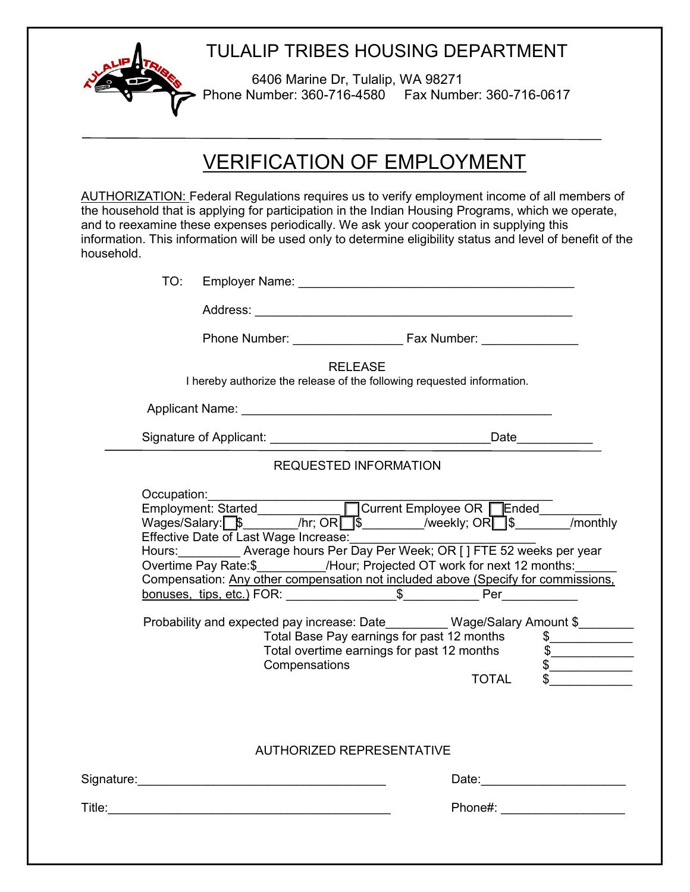

### TULALIP TRIBES HOUSING DEPARTMENT

6406 Marine Dr, Tulalip, WA 98271 Phone Number: 360-716-4580 Fax Number: 360-716-0617

# VERIFICATION OF EMPLOYMENT

AUTHORIZATION: Federal Regulations requires us to verify employment income of all members of the household that is applying for participation in the Indian Housing Programs, which we operate, and to reexamine these expenses periodically. We ask your cooperation in supplying this information. This information will be used only to determine eligibility status and level of benefit of the household.

| TO: |                                                      |                                  |                |                                                                                                                                                                                                                                                                                                                                                                                                            |                                                                                                                             |
|-----|------------------------------------------------------|----------------------------------|----------------|------------------------------------------------------------------------------------------------------------------------------------------------------------------------------------------------------------------------------------------------------------------------------------------------------------------------------------------------------------------------------------------------------------|-----------------------------------------------------------------------------------------------------------------------------|
|     |                                                      |                                  |                |                                                                                                                                                                                                                                                                                                                                                                                                            |                                                                                                                             |
|     |                                                      |                                  |                |                                                                                                                                                                                                                                                                                                                                                                                                            |                                                                                                                             |
|     |                                                      |                                  | <b>RELEASE</b> | I hereby authorize the release of the following requested information.                                                                                                                                                                                                                                                                                                                                     |                                                                                                                             |
|     |                                                      |                                  |                |                                                                                                                                                                                                                                                                                                                                                                                                            |                                                                                                                             |
|     |                                                      |                                  |                |                                                                                                                                                                                                                                                                                                                                                                                                            |                                                                                                                             |
|     |                                                      | <b>REQUESTED INFORMATION</b>     |                |                                                                                                                                                                                                                                                                                                                                                                                                            |                                                                                                                             |
|     | Occupation:<br>Effective Date of Last Wage Increase: | Compensations                    |                | Wages/Salary: \$ /hr; OR \$ /weekly; OR \\$ /weekly.<br>Hours: __________ Average hours Per Day Per Week; OR [] FTE 52 weeks per year<br>Overtime Pay Rate:\$___________/Hour; Projected OT work for next 12 months:_____<br>Probability and expected pay increase: Date Mage/Salary Amount \$<br>Total Base Pay earnings for past 12 months<br>Total overtime earnings for past 12 months<br><b>TOTAL</b> | $\frac{1}{2}$<br>$\sqrt{2}$<br>$\begin{array}{c c}\n\text{\textbf{S}} & \text{\textbf{S}} & \text{\textbf{S}}\n\end{array}$ |
|     |                                                      | <b>AUTHORIZED REPRESENTATIVE</b> |                |                                                                                                                                                                                                                                                                                                                                                                                                            |                                                                                                                             |
|     |                                                      |                                  |                | Phone#: ____________________                                                                                                                                                                                                                                                                                                                                                                               |                                                                                                                             |
|     |                                                      |                                  |                |                                                                                                                                                                                                                                                                                                                                                                                                            |                                                                                                                             |